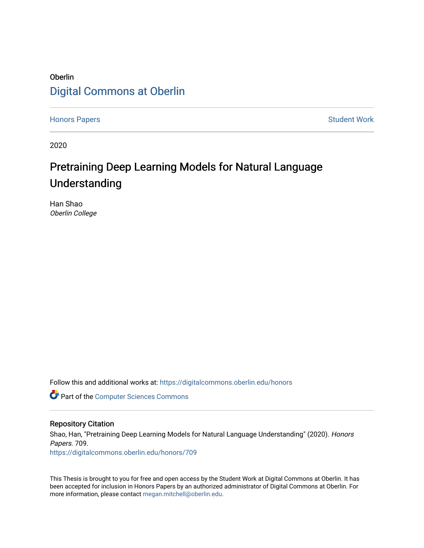## **Oberlin** [Digital Commons at Oberlin](https://digitalcommons.oberlin.edu/)

[Honors Papers](https://digitalcommons.oberlin.edu/honors) **Student Work** 

2020

## Pretraining Deep Learning Models for Natural Language Understanding

Han Shao Oberlin College

Follow this and additional works at: [https://digitalcommons.oberlin.edu/honors](https://digitalcommons.oberlin.edu/honors?utm_source=digitalcommons.oberlin.edu%2Fhonors%2F709&utm_medium=PDF&utm_campaign=PDFCoverPages) 

**Part of the [Computer Sciences Commons](http://network.bepress.com/hgg/discipline/142?utm_source=digitalcommons.oberlin.edu%2Fhonors%2F709&utm_medium=PDF&utm_campaign=PDFCoverPages)** 

## Repository Citation

Shao, Han, "Pretraining Deep Learning Models for Natural Language Understanding" (2020). Honors Papers. 709.

[https://digitalcommons.oberlin.edu/honors/709](https://digitalcommons.oberlin.edu/honors/709?utm_source=digitalcommons.oberlin.edu%2Fhonors%2F709&utm_medium=PDF&utm_campaign=PDFCoverPages) 

This Thesis is brought to you for free and open access by the Student Work at Digital Commons at Oberlin. It has been accepted for inclusion in Honors Papers by an authorized administrator of Digital Commons at Oberlin. For more information, please contact [megan.mitchell@oberlin.edu.](mailto:megan.mitchell@oberlin.edu)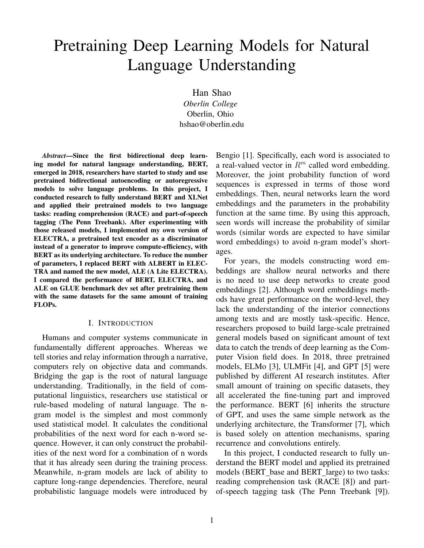# Pretraining Deep Learning Models for Natural Language Understanding

Han Shao *Oberlin College* Oberlin, Ohio hshao@oberlin.edu

*Abstract*—Since the first bidirectional deep learning model for natural language understanding, BERT, emerged in 2018, researchers have started to study and use pretrained bidirectional autoencoding or autoregressive models to solve language problems. In this project, I conducted research to fully understand BERT and XLNet and applied their pretrained models to two language tasks: reading comprehension (RACE) and part-of-speech tagging (The Penn Treebank). After experimenting with those released models, I implemented my own version of ELECTRA, a pretrained text encoder as a discriminator instead of a generator to improve compute-efficiency, with BERT as its underlying architecture. To reduce the number of parameters, I replaced BERT with ALBERT in ELEC-TRA and named the new model, ALE (A Lite ELECTRA). I compared the performance of BERT, ELECTRA, and ALE on GLUE benchmark dev set after pretraining them with the same datasets for the same amount of training FLOPs.

#### I. INTRODUCTION

Humans and computer systems communicate in fundamentally different approaches. Whereas we tell stories and relay information through a narrative, computers rely on objective data and commands. Bridging the gap is the root of natural language understanding. Traditionally, in the field of computational linguistics, researchers use statistical or rule-based modeling of natural language. The ngram model is the simplest and most commonly used statistical model. It calculates the conditional probabilities of the next word for each n-word sequence. However, it can only construct the probabilities of the next word for a combination of n words that it has already seen during the training process. Meanwhile, n-gram models are lack of ability to capture long-range dependencies. Therefore, neural probabilistic language models were introduced by

Bengio [1]. Specifically, each word is associated to a real-valued vector in  $R^m$  called word embedding. Moreover, the joint probability function of word sequences is expressed in terms of those word embeddings. Then, neural networks learn the word embeddings and the parameters in the probability function at the same time. By using this approach, seen words will increase the probability of similar words (similar words are expected to have similar word embeddings) to avoid n-gram model's shortages.

For years, the models constructing word embeddings are shallow neural networks and there is no need to use deep networks to create good embeddings [2]. Although word embeddings methods have great performance on the word-level, they lack the understanding of the interior connections among texts and are mostly task-specific. Hence, researchers proposed to build large-scale pretrained general models based on significant amount of text data to catch the trends of deep learning as the Computer Vision field does. In 2018, three pretrained models, ELMo [3], ULMFit [4], and GPT [5] were published by different AI research institutes. After small amount of training on specific datasets, they all accelerated the fine-tuning part and improved the performance. BERT [6] inherits the structure of GPT, and uses the same simple network as the underlying architecture, the Transformer [7], which is based solely on attention mechanisms, sparing recurrence and convolutions entirely.

In this project, I conducted research to fully understand the BERT model and applied its pretrained models (BERT base and BERT large) to two tasks: reading comprehension task (RACE [8]) and partof-speech tagging task (The Penn Treebank [9]).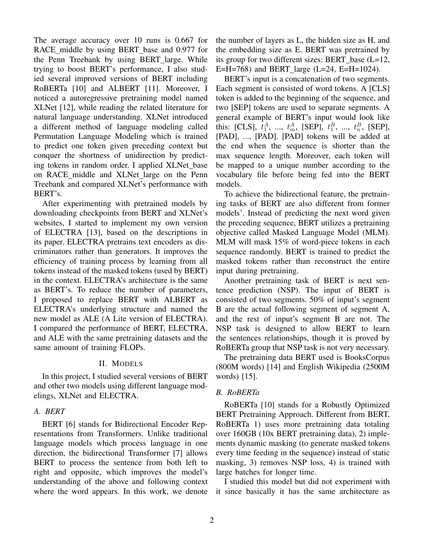The average accuracy over 10 runs is 0.667 for RACE middle by using BERT base and 0.977 for the Penn Treebank by using BERT large. While trying to boost BERT's performance, I also studied several improved versions of BERT including RoBERTa [10] and ALBERT [11]. Moreover, I noticed a autoregressive pretraining model named XLNet [12], while reading the related literature for natural language understanding. XLNet introduced a different method of language modeling called Permutation Language Modeling which is trained to predict one token given preceding context but conquer the shortness of unidirection by predicting tokens in random order. I applied XLNet base on RACE middle and XLNet large on the Penn Treebank and compared XLNet's performance with BERT's.

After experimenting with pretrained models by downloading checkpoints from BERT and XLNet's websites, I started to implement my own version of ELECTRA [13], based on the descriptions in its paper. ELECTRA pretrains text encoders as discriminators rather than generators. It improves the efficiency of training process by learning from all tokens instead of the masked tokens (used by BERT) in the context. ELECTRA's architecture is the same as BERT's. To reduce the number of parameters, I proposed to replace BERT with ALBERT as ELECTRA's underlying structure and named the new model as ALE (A Lite version of ELECTRA). I compared the performance of BERT, ELECTRA, and ALE with the same pretraining datasets and the same amount of training FLOPs.

## II. MODELS

In this project, I studied several versions of BERT and other two models using different language modelings, XLNet and ELECTRA.

## *A. BERT*

BERT [6] stands for Bidirectional Encoder Representations from Transformers. Unlike traditional language models which process language in one direction, the bidirectional Transformer [7] allows BERT to process the sentence from both left to right and opposite, which improves the model's understanding of the above and following context where the word appears. In this work, we denote the number of layers as L, the hidden size as H, and the embedding size as E. BERT was pretrained by its group for two different sizes: BERT base (L=12, E=H=768) and BERT\_large (L=24, E=H=1024).

BERT's input is a concatenation of two segments. Each segment is consisted of word tokens. A [CLS] token is added to the beginning of the sequence, and two [SEP] tokens are used to separate segments. A general example of BERT's input would look like this: [CLS],  $t_1^A$ , ...,  $t_m^A$ , [SEP],  $t_1^B$ , ...,  $t_n^B$ , [SEP], [PAD], ..., [PAD]. [PAD] tokens will be added at the end when the sequence is shorter than the max sequence length. Moreover, each token will be mapped to a unique number according to the vocabulary file before being fed into the BERT models.

To achieve the bidirectional feature, the pretraining tasks of BERT are also different from former models'. Instead of predicting the next word given the preceding sequence, BERT utilizes a pretraining objective called Masked Language Model (MLM). MLM will mask 15% of word-piece tokens in each sequence randomly. BERT is trained to predict the masked tokens rather than reconstruct the entire input during pretraining.

Another pretraining task of BERT is next sentence prediction (NSP). The input of BERT is consisted of two segments. 50% of input's segment B are the actual following segment of segment A, and the rest of input's segment B are not. The NSP task is designed to allow BERT to learn the sentences relationships, though it is proved by RoBERTa group that NSP task is not very necessary.

The pretraining data BERT used is BooksCorpus (800M words) [14] and English Wikipedia (2500M words) [15].

## *B. RoBERTa*

RoBERTa [10] stands for a Robustly Optimized BERT Pretraining Approach. Different from BERT, RoBERTa 1) uses more pretraining data totaling over 160GB (10x BERT pretraining data), 2) implements dynamic masking (to generate masked tokens every time feeding in the sequence) instead of static masking, 3) removes NSP loss, 4) is trained with large batches for longer time.

I studied this model but did not experiment with it since basically it has the same architecture as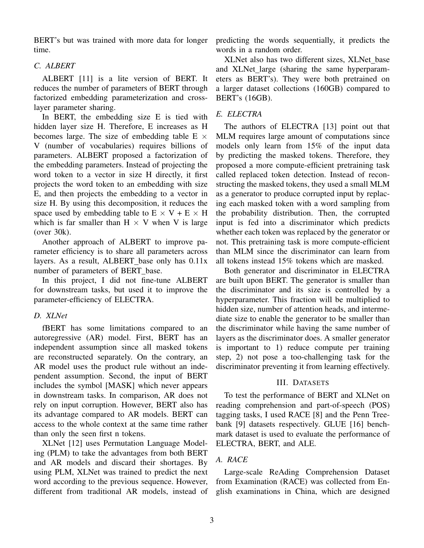BERT's but was trained with more data for longer time.

## *C. ALBERT*

ALBERT [11] is a lite version of BERT. It reduces the number of parameters of BERT through factorized embedding parameterization and crosslayer parameter sharing.

In BERT, the embedding size E is tied with hidden layer size H. Therefore, E increases as H becomes large. The size of embedding table  $E \times$ V (number of vocabularies) requires billions of parameters. ALBERT proposed a factorization of the embedding parameters. Instead of projecting the word token to a vector in size H directly, it first projects the word token to an embedding with size E, and then projects the embedding to a vector in size H. By using this decomposition, it reduces the space used by embedding table to  $E \times V + E \times H$ which is far smaller than  $H \times V$  when V is large (over 30k).

Another approach of ALBERT to improve parameter efficiency is to share all parameters across layers. As a result, ALBERT base only has  $0.11x$ number of parameters of BERT base.

In this project, I did not fine-tune ALBERT for downstream tasks, but used it to improve the parameter-efficiency of ELECTRA.

## *D. XLNet*

fBERT has some limitations compared to an autoregressive (AR) model. First, BERT has an independent assumption since all masked tokens are reconstructed separately. On the contrary, an AR model uses the product rule without an independent assumption. Second, the input of BERT includes the symbol [MASK] which never appears in downstream tasks. In comparison, AR does not rely on input corruption. However, BERT also has its advantage compared to AR models. BERT can access to the whole context at the same time rather than only the seen first n tokens.

XLNet [12] uses Permutation Language Modeling (PLM) to take the advantages from both BERT and AR models and discard their shortages. By using PLM, XLNet was trained to predict the next word according to the previous sequence. However, different from traditional AR models, instead of predicting the words sequentially, it predicts the words in a random order.

XLNet also has two different sizes, XLNet base and XLNet\_large (sharing the same hyperparameters as BERT's). They were both pretrained on a larger dataset collections (160GB) compared to BERT's (16GB).

## *E. ELECTRA*

The authors of ELECTRA [13] point out that MLM requires large amount of computations since models only learn from 15% of the input data by predicting the masked tokens. Therefore, they proposed a more compute-efficient pretraining task called replaced token detection. Instead of reconstructing the masked tokens, they used a small MLM as a generator to produce corrupted input by replacing each masked token with a word sampling from the probability distribution. Then, the corrupted input is fed into a discriminator which predicts whether each token was replaced by the generator or not. This pretraining task is more compute-efficient than MLM since the discriminator can learn from all tokens instead 15% tokens which are masked.

Both generator and discriminator in ELECTRA are built upon BERT. The generator is smaller than the discriminator and its size is controlled by a hyperparameter. This fraction will be multiplied to hidden size, number of attention heads, and intermediate size to enable the generator to be smaller than the discriminator while having the same number of layers as the discriminator does. A smaller generator is important to 1) reduce compute per training step, 2) not pose a too-challenging task for the discriminator preventing it from learning effectively.

## III. DATASETS

To test the performance of BERT and XLNet on reading comprehension and part-of-speech (POS) tagging tasks, I used RACE [8] and the Penn Treebank [9] datasets respectively. GLUE [16] benchmark dataset is used to evaluate the performance of ELECTRA, BERT, and ALE.

## *A. RACE*

Large-scale ReAding Comprehension Dataset from Examination (RACE) was collected from English examinations in China, which are designed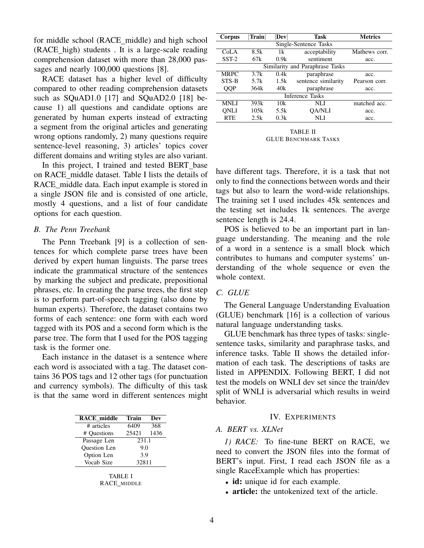for middle school (RACE middle) and high school (RACE high) students . It is a large-scale reading comprehension dataset with more than 28,000 passages and nearly 100,000 questions [8].

RACE dataset has a higher level of difficulty compared to other reading comprehension datasets such as SQuAD1.0 [17] and SQuAD2.0 [18] because 1) all questions and candidate options are generated by human experts instead of extracting a segment from the original articles and generating wrong options randomly, 2) many questions require sentence-level reasoning, 3) articles' topics cover different domains and writing styles are also variant.

In this project, I trained and tested BERT base on RACE middle dataset. Table I lists the details of RACE middle data. Each input example is stored in a single JSON file and is consisted of one article, mostly 4 questions, and a list of four candidate options for each question.

#### *B. The Penn Treebank*

The Penn Treebank [9] is a collection of sentences for which complete parse trees have been derived by expert human linguists. The parse trees indicate the grammatical structure of the sentences by marking the subject and predicate, prepositional phrases, etc. In creating the parse trees, the first step is to perform part-of-speech tagging (also done by human experts). Therefore, the dataset contains two forms of each sentence: one form with each word tagged with its POS and a second form which is the parse tree. The form that I used for the POS tagging task is the former one.

Each instance in the dataset is a sentence where each word is associated with a tag. The dataset contains 36 POS tags and 12 other tags (for punctuation and currency symbols). The difficulty of this task is that the same word in different sentences might

| <b>RACE</b> middle  | <b>Train</b> | Dev  |  |
|---------------------|--------------|------|--|
| # articles          | 6409         | 368  |  |
| # Questions         | 25421        | 1436 |  |
| Passage Len         | 231.1        |      |  |
| <b>Ouestion</b> Len | 9.0          |      |  |
| Option Len          | 3.9          |      |  |
| Vocab Size          | 32811        |      |  |
|                     |              |      |  |

| TABLE I |             |  |  |  |
|---------|-------------|--|--|--|
|         | RACE MIDDLE |  |  |  |

| Corpus                 | Train   | Dev  | <b>Task</b>                     | <b>Metrics</b> |  |  |
|------------------------|---------|------|---------------------------------|----------------|--|--|
| Single-Sentence Tasks  |         |      |                                 |                |  |  |
| Co <sub>L</sub> A      | 8.5k    | 1k   | acceptability                   | Mathews corr.  |  |  |
| $SST-2$                | 67k     | 0.9k | sentiment                       | acc.           |  |  |
|                        |         |      | Similarity and Paraphrase Tasks |                |  |  |
| <b>MRPC</b>            | 3.7k    | 0.4k | paraphrase                      | acc.           |  |  |
| STS-B                  | 5.7 $k$ | 1.5k | sentence similarity             | Pearson corr.  |  |  |
| QQP                    | 364k    | 40k  | paraphrase                      | acc.           |  |  |
| <b>Inference Tasks</b> |         |      |                                 |                |  |  |
| <b>MNLI</b>            | 393k    | 10k  | NLI                             | matched acc.   |  |  |
| ONLI                   | 105k    | 5.5k | <b>OA/NLI</b>                   | acc.           |  |  |
| <b>RTE</b>             | 2.5k    | 0.3k | NLI                             | acc.           |  |  |
|                        |         |      |                                 |                |  |  |

TABLE II GLUE BENCHMARK TASKS

have different tags. Therefore, it is a task that not only to find the connections between words and their tags but also to learn the word-wide relationships. The training set I used includes 45k sentences and the testing set includes 1k sentences. The averge sentence length is 24.4.

POS is believed to be an important part in language understanding. The meaning and the role of a word in a sentence is a small block which contributes to humans and computer systems' understanding of the whole sequence or even the whole context.

#### *C. GLUE*

The General Language Understanding Evaluation (GLUE) benchmark [16] is a collection of various natural language understanding tasks.

GLUE benchmark has three types of tasks: singlesentence tasks, similarity and paraphrase tasks, and inference tasks. Table II shows the detailed information of each task. The descriptions of tasks are listed in APPENDIX. Following BERT, I did not test the models on WNLI dev set since the train/dev split of WNLI is adversarial which results in weird behavior.

#### IV. EXPERIMENTS

## *A. BERT vs. XLNet*

*1) RACE:* To fine-tune BERT on RACE, we need to convert the JSON files into the format of BERT's input. First, I read each JSON file as a single RaceExample which has properties:

- id: unique id for each example.
- article: the untokenized text of the article.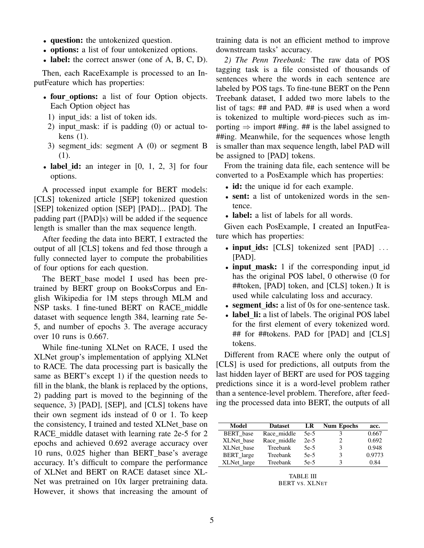- question: the untokenized question.
- options: a list of four untokenized options.
- label: the correct answer (one of A, B, C, D).

Then, each RaceExample is processed to an InputFeature which has properties:

- four\_options: a list of four Option objects. Each Option object has
	- 1) input\_ids: a list of token ids.
	- 2) input mask: if is padding (0) or actual tokens (1).
- 3) segment ids: segment A (0) or segment B (1).
- label\_id: an integer in  $[0, 1, 2, 3]$  for four options.

A processed input example for BERT models: [CLS] tokenized article [SEP] tokenized question [SEP] tokenized option [SEP] [PAD]... [PAD]. The padding part ([PAD]s) will be added if the sequence length is smaller than the max sequence length.

After feeding the data into BERT, I extracted the output of all [CLS] tokens and fed those through a fully connected layer to compute the probabilities of four options for each question.

The BERT base model I used has been pretrained by BERT group on BooksCorpus and English Wikipedia for 1M steps through MLM and NSP tasks. I fine-tuned BERT on RACE middle dataset with sequence length 384, learning rate 5e-5, and number of epochs 3. The average accuracy over 10 runs is 0.667.

While fine-tuning XLNet on RACE, I used the XLNet group's implementation of applying XLNet to RACE. The data processing part is basically the same as BERT's except 1) if the question needs to fill in the blank, the blank is replaced by the options, 2) padding part is moved to the beginning of the sequence, 3) [PAD], [SEP], and [CLS] tokens have their own segment ids instead of 0 or 1. To keep the consistency, I trained and tested XLNet base on RACE\_middle dataset with learning rate 2e-5 for 2 epochs and achieved 0.692 average accuracy over 10 runs, 0.025 higher than BERT base's average accuracy. It's difficult to compare the performance of XLNet and BERT on RACE dataset since XL-Net was pretrained on 10x larger pretraining data. However, it shows that increasing the amount of training data is not an efficient method to improve downstream tasks' accuracy.

*2) The Penn Treebank:* The raw data of POS tagging task is a file consisted of thousands of sentences where the words in each sentence are labeled by POS tags. To fine-tune BERT on the Penn Treebank dataset, I added two more labels to the list of tags: ## and PAD. ## is used when a word is tokenized to multiple word-pieces such as importing  $\Rightarrow$  import ##ing. ## is the label assigned to ##ing. Meanwhile, for the sequences whose length is smaller than max sequence length, label PAD will be assigned to [PAD] tokens.

From the training data file, each sentence will be converted to a PosExample which has properties:

- id: the unique id for each example.
- sent: a list of untokenized words in the sentence.
- label: a list of labels for all words.

Given each PosExample, I created an InputFeature which has properties:

- input\_ids: [CLS] tokenized sent [PAD] ... [PAD].
- input\_mask: 1 if the corresponding input\_id has the original POS label, 0 otherwise (0 for ##token, [PAD] token, and [CLS] token.) It is used while calculating loss and accuracy.
- segment\_ids: a list of 0s for one-sentence task.
- label li: a list of labels. The original POS label for the first element of every tokenized word. ## for ##tokens. PAD for [PAD] and [CLS] tokens.

Different from RACE where only the output of [CLS] is used for predictions, all outputs from the last hidden layer of BERT are used for POS tagging predictions since it is a word-level problem rather than a sentence-level problem. Therefore, after feeding the processed data into BERT, the outputs of all

| Model             | <b>Dataset</b> | LR     | <b>Num Epochs</b> | acc.   |
|-------------------|----------------|--------|-------------------|--------|
| BERT base         | Race middle    | $5e-5$ |                   | 0.667  |
| XLNet base        | Race middle    | $2e-5$ |                   | 0.692  |
| XLNet base        | Treebank       | $5e-5$ | 3                 | 0.948  |
| <b>BERT</b> large | Treebank       | $5e-5$ | 3                 | 0.9773 |
| XLNet large       | Treebank       | $5e-5$ | 3                 | 0.84   |
|                   |                |        |                   |        |

TABLE III BERT VS. XLNET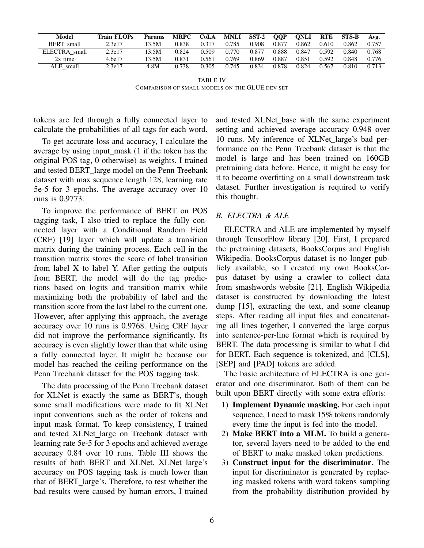| Model             | Train FLOPs | <b>Params</b> | <b>MRPC</b> | CoLA  | <b>MNLI</b> | $SST-2$    | <b>OOP</b>     | <b>ONLI</b> | <b>RTE</b> | <b>STS-B</b> | Avg.  |
|-------------------|-------------|---------------|-------------|-------|-------------|------------|----------------|-------------|------------|--------------|-------|
| <b>BERT</b> small | 2.3e17      | 13.5M         | 0.838       | 0.317 | 0.785       | 0.908      | $0.87^{\circ}$ | 0.862       | 0.610      | 0.862        | 0.757 |
| ELECTRA small     | 2.3e17      | 13.5M         | 0.824       | 0.509 | 0.770       | $0.87^{2}$ | 0.888          | 0.847       | 0.592      | 0.840        | 0.768 |
| $2x$ time         | 4.6e17      | 13.5M         | 0.831       | 0.561 | 0.769       | 0.869      | 0.887          | 0.851       | 0.592      | 0.848        | 0.776 |
| ALE small         | 2.3e17      | 4.8M          | 0.738       | 0.305 | 0.745       | 0.834      | 0.878          | 0.824       | 0.567      | 0.810        | 0.713 |

TABLE IV COMPARISON OF SMALL MODELS ON THE GLUE DEV SET

tokens are fed through a fully connected layer to calculate the probabilities of all tags for each word.

To get accurate loss and accuracy, I calculate the average by using input\_mask (1 if the token has the original POS tag, 0 otherwise) as weights. I trained and tested BERT large model on the Penn Treebank dataset with max sequence length 128, learning rate 5e-5 for 3 epochs. The average accuracy over 10 runs is 0.9773.

To improve the performance of BERT on POS tagging task, I also tried to replace the fully connected layer with a Conditional Random Field (CRF) [19] layer which will update a transition matrix during the training process. Each cell in the transition matrix stores the score of label transition from label X to label Y. After getting the outputs from BERT, the model will do the tag predictions based on logits and transition matrix while maximizing both the probability of label and the transition score from the last label to the current one. However, after applying this approach, the average accuracy over 10 runs is 0.9768. Using CRF layer did not improve the performance significantly. Its accuracy is even slightly lower than that while using a fully connected layer. It might be because our model has reached the ceiling performance on the Penn Treebank dataset for the POS tagging task.

The data processing of the Penn Treebank dataset for XLNet is exactly the same as BERT's, though some small modifications were made to fit XLNet input conventions such as the order of tokens and input mask format. To keep consistency, I trained and tested XLNet large on Treebank dataset with learning rate 5e-5 for 3 epochs and achieved average accuracy 0.84 over 10 runs. Table III shows the results of both BERT and XLNet. XLNet large's accuracy on POS tagging task is much lower than that of BERT large's. Therefore, to test whether the bad results were caused by human errors, I trained and tested XLNet\_base with the same experiment setting and achieved average accuracy 0.948 over 10 runs. My inference of XLNet large's bad performance on the Penn Treebank dataset is that the model is large and has been trained on 160GB pretraining data before. Hence, it might be easy for it to become overfitting on a small downstream task dataset. Further investigation is required to verify this thought.

## *B. ELECTRA & ALE*

ELECTRA and ALE are implemented by myself through TensorFlow library [20]. First, I prepared the pretraining datasets, BooksCorpus and English Wikipedia. BooksCorpus dataset is no longer publicly available, so I created my own BooksCorpus dataset by using a crawler to collect data from smashwords website [21]. English Wikipedia dataset is constructed by downloading the latest dump [15], extracting the text, and some cleanup steps. After reading all input files and concatenating all lines together, I converted the large corpus into sentence-per-line format which is required by BERT. The data processing is similar to what I did for BERT. Each sequence is tokenized, and [CLS], [SEP] and [PAD] tokens are added.

The basic architecture of ELECTRA is one generator and one discriminator. Both of them can be built upon BERT directly with some extra efforts:

- 1) Implement Dynamic masking. For each input sequence, I need to mask 15% tokens randomly every time the input is fed into the model.
- 2) Make BERT into a MLM. To build a generator, several layers need to be added to the end of BERT to make masked token predictions.
- 3) Construct input for the discriminator. The input for discriminator is generated by replacing masked tokens with word tokens sampling from the probability distribution provided by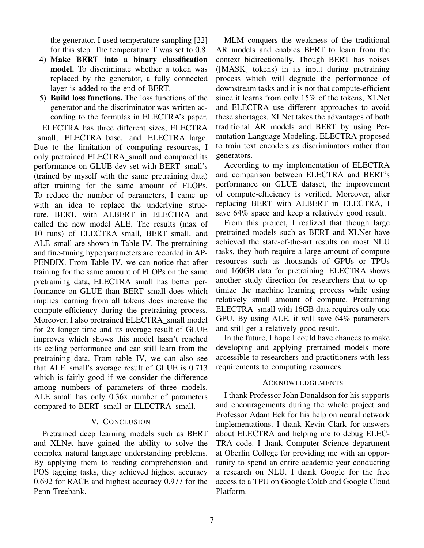the generator. I used temperature sampling [22] for this step. The temperature T was set to 0.8.

- 4) Make BERT into a binary classification model. To discriminate whether a token was replaced by the generator, a fully connected layer is added to the end of BERT.
- 5) Build loss functions. The loss functions of the generator and the discriminator was written according to the formulas in ELECTRA's paper.

ELECTRA has three different sizes, ELECTRA small, ELECTRA base, and ELECTRA large. Due to the limitation of computing resources, I only pretrained ELECTRA small and compared its performance on GLUE dev set with BERT small's (trained by myself with the same pretraining data) after training for the same amount of FLOPs. To reduce the number of parameters, I came up with an idea to replace the underlying structure, BERT, with ALBERT in ELECTRA and called the new model ALE. The results (max of 10 runs) of ELECTRA small, BERT small, and ALE small are shown in Table IV. The pretraining and fine-tuning hyperparameters are recorded in AP-PENDIX. From Table IV, we can notice that after training for the same amount of FLOPs on the same pretraining data, ELECTRA small has better performance on GLUE than BERT\_small does which implies learning from all tokens does increase the compute-efficiency during the pretraining process. Moreover, I also pretrained ELECTRA small model for 2x longer time and its average result of GLUE improves which shows this model hasn't reached its ceiling performance and can still learn from the pretraining data. From table IV, we can also see that ALE small's average result of GLUE is 0.713 which is fairly good if we consider the difference among numbers of parameters of three models. ALE small has only 0.36x number of parameters compared to BERT\_small or ELECTRA\_small.

## V. CONCLUSION

Pretrained deep learning models such as BERT and XLNet have gained the ability to solve the complex natural language understanding problems. By applying them to reading comprehension and POS tagging tasks, they achieved highest accuracy 0.692 for RACE and highest accuracy 0.977 for the Penn Treebank.

MLM conquers the weakness of the traditional AR models and enables BERT to learn from the context bidirectionally. Though BERT has noises ([MASK] tokens) in its input during pretraining process which will degrade the performance of downstream tasks and it is not that compute-efficient since it learns from only 15% of the tokens, XLNet and ELECTRA use different approaches to avoid these shortages. XLNet takes the advantages of both traditional AR models and BERT by using Permutation Language Modeling. ELECTRA proposed to train text encoders as discriminators rather than generators.

According to my implementation of ELECTRA and comparison between ELECTRA and BERT's performance on GLUE dataset, the improvement of compute-efficiency is verified. Moreover, after replacing BERT with ALBERT in ELECTRA, I save 64% space and keep a relatively good result.

From this project, I realized that though large pretrained models such as BERT and XLNet have achieved the state-of-the-art results on most NLU tasks, they both require a large amount of compute resources such as thousands of GPUs or TPUs and 160GB data for pretraining. ELECTRA shows another study direction for researchers that to optimize the machine learning process while using relatively small amount of compute. Pretraining ELECTRA small with 16GB data requires only one GPU. By using ALE, it will save 64% parameters and still get a relatively good result.

In the future, I hope I could have chances to make developing and applying pretrained models more accessible to researchers and practitioners with less requirements to computing resources.

#### ACKNOWLEDGEMENTS

I thank Professor John Donaldson for his supports and encouragements during the whole project and Professor Adam Eck for his help on neural network implementations. I thank Kevin Clark for answers about ELECTRA and helping me to debug ELEC-TRA code. I thank Computer Science department at Oberlin College for providing me with an opportunity to spend an entire academic year conducting a research on NLU. I thank Google for the free access to a TPU on Google Colab and Google Cloud Platform.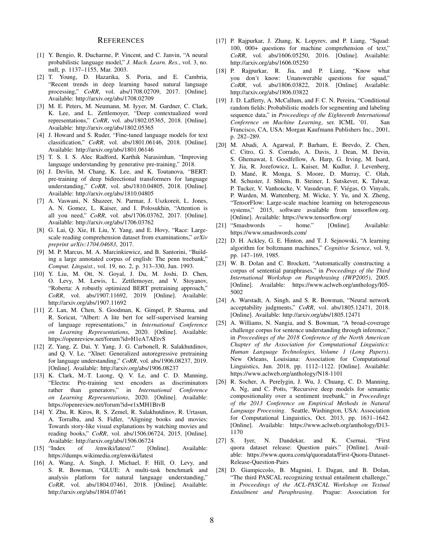#### **REFERENCES**

- [1] Y. Bengio, R. Ducharme, P. Vincent, and C. Janvin, "A neural probabilistic language model," *J. Mach. Learn. Res.*, vol. 3, no. null, p. 1137–1155, Mar. 2003.
- [2] T. Young, D. Hazarika, S. Poria, and E. Cambria, "Recent trends in deep learning based natural language processing," *CoRR*, vol. abs/1708.02709, 2017. [Online]. Available: http://arxiv.org/abs/1708.02709
- [3] M. E. Peters, M. Neumann, M. Iyyer, M. Gardner, C. Clark, K. Lee, and L. Zettlemoyer, "Deep contextualized word representations," *CoRR*, vol. abs/1802.05365, 2018. [Online]. Available: http://arxiv.org/abs/1802.05365
- [4] J. Howard and S. Ruder, "Fine-tuned language models for text classification," *CoRR*, vol. abs/1801.06146, 2018. [Online]. Available: http://arxiv.org/abs/1801.06146
- [5] T. S. I. S. Alec Radford, Karthik Narasimhan, "Improving language understanding by generative pre-training," 2018.
- [6] J. Devlin, M. Chang, K. Lee, and K. Toutanova, "BERT: pre-training of deep bidirectional transformers for language understanding," *CoRR*, vol. abs/1810.04805, 2018. [Online]. Available: http://arxiv.org/abs/1810.04805
- [7] A. Vaswani, N. Shazeer, N. Parmar, J. Uszkoreit, L. Jones, A. N. Gomez, L. Kaiser, and I. Polosukhin, "Attention is all you need," *CoRR*, vol. abs/1706.03762, 2017. [Online]. Available: http://arxiv.org/abs/1706.03762
- [8] G. Lai, Q. Xie, H. Liu, Y. Yang, and E. Hovy, "Race: Largescale reading comprehension dataset from examinations," *arXiv preprint arXiv:1704.04683*, 2017.
- [9] M. P. Marcus, M. A. Marcinkiewicz, and B. Santorini, "Building a large annotated corpus of english: The penn treebank," *Comput. Linguist.*, vol. 19, no. 2, p. 313–330, Jun. 1993.
- [10] Y. Liu, M. Ott, N. Goyal, J. Du, M. Joshi, D. Chen, O. Levy, M. Lewis, L. Zettlemoyer, and V. Stoyanov, "Roberta: A robustly optimized BERT pretraining approach," *CoRR*, vol. abs/1907.11692, 2019. [Online]. Available: http://arxiv.org/abs/1907.11692
- [11] Z. Lan, M. Chen, S. Goodman, K. Gimpel, P. Sharma, and R. Soricut, "Albert: A lite bert for self-supervised learning of language representations," in *International Conference on Learning Representations*, 2020. [Online]. Available: https://openreview.net/forum?id=H1eA7AEtvS
- [12] Z. Yang, Z. Dai, Y. Yang, J. G. Carbonell, R. Salakhutdinov, and Q. V. Le, "Xlnet: Generalized autoregressive pretraining for language understanding," *CoRR*, vol. abs/1906.08237, 2019. [Online]. Available: http://arxiv.org/abs/1906.08237
- [13] K. Clark, M.-T. Luong, Q. V. Le, and C. D. Manning, "Electra: Pre-training text encoders as discriminators rather than generators," in *International Conference on Learning Representations*, 2020. [Online]. Available: https://openreview.net/forum?id=r1xMH1BtvB
- [14] Y. Zhu, R. Kiros, R. S. Zemel, R. Salakhutdinov, R. Urtasun, A. Torralba, and S. Fidler, "Aligning books and movies: Towards story-like visual explanations by watching movies and reading books," *CoRR*, vol. abs/1506.06724, 2015. [Online]. Available: http://arxiv.org/abs/1506.06724
- [15] "Index of /enwiki/latest/." [Online]. Available: https://dumps.wikimedia.org/enwiki/latest
- [16] A. Wang, A. Singh, J. Michael, F. Hill, O. Levy, and S. R. Bowman, "GLUE: A multi-task benchmark and analysis platform for natural language understanding," *CoRR*, vol. abs/1804.07461, 2018. [Online]. Available: http://arxiv.org/abs/1804.07461
- [17] P. Rajpurkar, J. Zhang, K. Lopyrev, and P. Liang, "Squad: 100, 000+ questions for machine comprehension of text," *CoRR*, vol. abs/1606.05250, 2016. [Online]. Available: http://arxiv.org/abs/1606.05250
- [18] P. Rajpurkar, R. Jia, and P. Liang, "Know what you don't know: Unanswerable questions for squad," *CoRR*, vol. abs/1806.03822, 2018. [Online]. Available: http://arxiv.org/abs/1806.03822
- [19] J. D. Lafferty, A. McCallum, and F. C. N. Pereira, "Conditional random fields: Probabilistic models for segmenting and labeling sequence data," in *Proceedings of the Eighteenth International Conference on Machine Learning*, ser. ICML '01. San Francisco, CA, USA: Morgan Kaufmann Publishers Inc., 2001, p. 282–289.
- [20] M. Abadi, A. Agarwal, P. Barham, E. Brevdo, Z. Chen, C. Citro, G. S. Corrado, A. Davis, J. Dean, M. Devin, S. Ghemawat, I. Goodfellow, A. Harp, G. Irving, M. Isard, Y. Jia, R. Jozefowicz, L. Kaiser, M. Kudlur, J. Levenberg, D. Mané, R. Monga, S. Moore, D. Murray, C. Olah, M. Schuster, J. Shlens, B. Steiner, I. Sutskever, K. Talwar, P. Tucker, V. Vanhoucke, V. Vasudevan, F. Viegas, O. Vinyals, ´ P. Warden, M. Wattenberg, M. Wicke, Y. Yu, and X. Zheng, "TensorFlow: Large-scale machine learning on heterogeneous systems," 2015, software available from tensorflow.org. [Online]. Available: https://www.tensorflow.org/
- [21] "Smashwords home." [Online]. Available: https://www.smashwords.com/
- [22] D. H. Ackley, G. E. Hinton, and T. J. Sejnowski, "A learning algorithm for boltzmann machines," *Cognitive Science*, vol. 9, pp. 147–169, 1985.
- [23] W. B. Dolan and C. Brockett, "Automatically constructing a corpus of sentential paraphrases," in *Proceedings of the Third International Workshop on Paraphrasing (IWP2005)*, 2005. [Online]. Available: https://www.aclweb.org/anthology/I05- 5002
- [24] A. Warstadt, A. Singh, and S. R. Bowman, "Neural network acceptability judgments," *CoRR*, vol. abs/1805.12471, 2018. [Online]. Available: http://arxiv.org/abs/1805.12471
- [25] A. Williams, N. Nangia, and S. Bowman, "A broad-coverage challenge corpus for sentence understanding through inference," in *Proceedings of the 2018 Conference of the North American Chapter of the Association for Computational Linguistics: Human Language Technologies, Volume 1 (Long Papers)*. New Orleans, Louisiana: Association for Computational Linguistics, Jun. 2018, pp. 1112–1122. [Online]. Available: https://www.aclweb.org/anthology/N18-1101
- [26] R. Socher, A. Perelygin, J. Wu, J. Chuang, C. D. Manning, A. Ng, and C. Potts, "Recursive deep models for semantic compositionality over a sentiment treebank," in *Proceedings of the 2013 Conference on Empirical Methods in Natural Language Processing*. Seattle, Washington, USA: Association for Computational Linguistics, Oct. 2013, pp. 1631–1642. [Online]. Available: https://www.aclweb.org/anthology/D13- 1170
- [27] S. Iyer, N. Dandekar, and K. Csernai, "First quora dataset release: Question pairs." [Online]. Available: https://www.quora.com/q/quoradata/First-Quora-Dataset-Release-Question-Pairs
- [28] D. Giampiccolo, B. Magnini, I. Dagan, and B. Dolan, "The third PASCAL recognizing textual entailment challenge," in *Proceedings of the ACL-PASCAL Workshop on Textual Entailment and Paraphrasing*. Prague: Association for